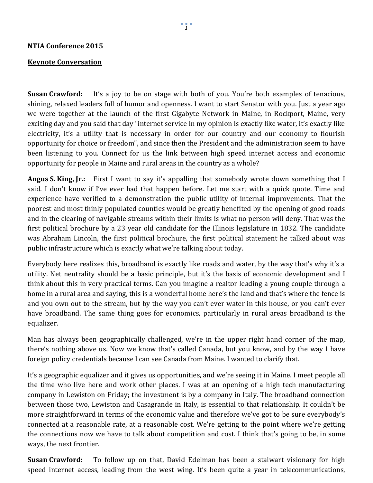## **NTIA Conference 2015**

## **Keynote Conversation**

**Susan Crawford:** It's a joy to be on stage with both of you. You're both examples of tenacious, shining, relaxed leaders full of humor and openness. I want to start Senator with you. Just a year ago we were together at the launch of the first Gigabyte Network in Maine, in Rockport, Maine, very exciting day and you said that day "internet service in my opinion is exactly like water, it's exactly like electricity, it's a utility that is necessary in order for our country and our economy to flourish opportunity for choice or freedom", and since then the President and the administration seem to have been listening to you. Connect for us the link between high speed internet access and economic opportunity for people in Maine and rural areas in the country as a whole?

**Angus S. King, Jr.:** First I want to say it's appalling that somebody wrote down something that I said. I don't know if I've ever had that happen before. Let me start with a quick quote. Time and experience have verified to a demonstration the public utility of internal improvements. That the poorest and most thinly populated counties would be greatly benefited by the opening of good roads and in the clearing of navigable streams within their limits is what no person will deny. That was the first political brochure by a 23 year old candidate for the Illinois legislature in 1832. The candidate was Abraham Lincoln, the first political brochure, the first political statement he talked about was public infrastructure which is exactly what we're talking about today.

Everybody here realizes this, broadband is exactly like roads and water, by the way that's why it's a utility. Net neutrality should be a basic principle, but it's the basis of economic development and I think about this in very practical terms. Can you imagine a realtor leading a young couple through a home in a rural area and saying, this is a wonderful home here's the land and that's where the fence is and you own out to the stream, but by the way you can't ever water in this house, or you can't ever have broadband. The same thing goes for economics, particularly in rural areas broadband is the equalizer.

Man has always been geographically challenged, we're in the upper right hand corner of the map, there's nothing above us. Now we know that's called Canada, but you know, and by the way I have foreign policy credentials because I can see Canada from Maine. I wanted to clarify that.

It's a geographic equalizer and it gives us opportunities, and we're seeing it in Maine. I meet people all the time who live here and work other places. I was at an opening of a high tech manufacturing company in Lewiston on Friday; the investment is by a company in Italy. The broadband connection between those two, Lewiston and Casagrande in Italy, is essential to that relationship. It couldn't be more straightforward in terms of the economic value and therefore we've got to be sure everybody's connected at a reasonable rate, at a reasonable cost. We're getting to the point where we're getting the connections now we have to talk about competition and cost. I think that's going to be, in some ways, the next frontier.

**Susan Crawford:** To follow up on that, David Edelman has been a stalwart visionary for high speed internet access, leading from the west wing. It's been quite a year in telecommunications,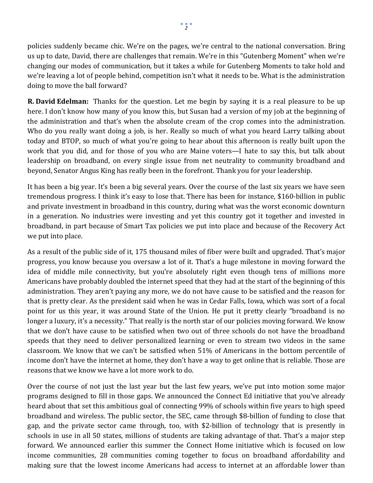policies suddenly became chic. We're on the pages, we're central to the national conversation. Bring us up to date, David, there are challenges that remain. We're in this "Gutenberg Moment" when we're changing our modes of communication, but it takes a while for Gutenberg Moments to take hold and we're leaving a lot of people behind, competition isn't what it needs to be. What is the administration doing to move the ball forward?

**R. David Edelman:** Thanks for the question. Let me begin by saying it is a real pleasure to be up here. I don't know how many of you know this, but Susan had a version of my job at the beginning of the administration and that's when the absolute cream of the crop comes into the administration. Who do you really want doing a job, is her. Really so much of what you heard Larry talking about today and BTOP, so much of what you're going to hear about this afternoon is really built upon the work that you did, and for those of you who are Maine voters—I hate to say this, but talk about leadership on broadband, on every single issue from net neutrality to community broadband and beyond, Senator Angus King has really been in the forefront. Thank you for your leadership.

It has been a big year. It's been a big several years. Over the course of the last six years we have seen tremendous progress. I think it's easy to lose that. There has been for instance, \$160-billion in public and private investment in broadband in this country, during what was the worst economic downturn in a generation. No industries were investing and yet this country got it together and invested in broadband, in part because of Smart Tax policies we put into place and because of the Recovery Act we put into place.

As a result of the public side of it, 175 thousand miles of fiber were built and upgraded. That's major progress, you know because you oversaw a lot of it. That's a huge milestone in moving forward the idea of middle mile connectivity, but you're absolutely right even though tens of millions more Americans have probably doubled the internet speed that they had at the start of the beginning of this administration. They aren't paying any more, we do not have cause to be satisfied and the reason for that is pretty clear. As the president said when he was in Cedar Falls, Iowa, which was sort of a focal point for us this year, it was around State of the Union. He put it pretty clearly "broadband is no longer a luxury, it's a necessity." That really is the north star of our policies moving forward. We know that we don't have cause to be satisfied when two out of three schools do not have the broadband speeds that they need to deliver personalized learning or even to stream two videos in the same classroom. We know that we can't be satisfied when 51% of Americans in the bottom percentile of income don't have the internet at home, they don't have a way to get online that is reliable. Those are reasons that we know we have a lot more work to do.

Over the course of not just the last year but the last few years, we've put into motion some major programs designed to fill in those gaps. We announced the Connect Ed initiative that you've already heard about that set this ambitious goal of connecting 99% of schools within five years to high speed broadband and wireless. The public sector, the SEC, came through \$8-billion of funding to close that gap, and the private sector came through, too, with \$2-billion of technology that is presently in schools in use in all 50 states, millions of students are taking advantage of that. That's a major step forward. We announced earlier this summer the Connect Home initiative which is focused on low income communities, 28 communities coming together to focus on broadband affordability and making sure that the lowest income Americans had access to internet at an affordable lower than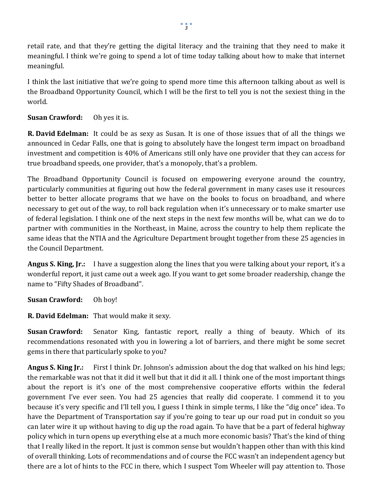retail rate, and that they're getting the digital literacy and the training that they need to make it meaningful. I think we're going to spend a lot of time today talking about how to make that internet meaningful.

I think the last initiative that we're going to spend more time this afternoon talking about as well is the Broadband Opportunity Council, which I will be the first to tell you is not the sexiest thing in the world.

## **Susan Crawford:** Oh yes it is.

**R. David Edelman:** It could be as sexy as Susan. It is one of those issues that of all the things we announced in Cedar Falls, one that is going to absolutely have the longest term impact on broadband investment and competition is 40% of Americans still only have one provider that they can access for true broadband speeds, one provider, that's a monopoly, that's a problem.

The Broadband Opportunity Council is focused on empowering everyone around the country, particularly communities at figuring out how the federal government in many cases use it resources better to better allocate programs that we have on the books to focus on broadband, and where necessary to get out of the way, to roll back regulation when it's unnecessary or to make smarter use of federal legislation. I think one of the next steps in the next few months will be, what can we do to partner with communities in the Northeast, in Maine, across the country to help them replicate the same ideas that the NTIA and the Agriculture Department brought together from these 25 agencies in the Council Department.

**Angus S. King, Jr.:** I have a suggestion along the lines that you were talking about your report, it's a wonderful report, it just came out a week ago. If you want to get some broader readership, change the name to "Fifty Shades of Broadband".

**Susan Crawford:** Oh boy!

**R. David Edelman:** That would make it sexy.

**Susan Crawford:** Senator King, fantastic report, really a thing of beauty. Which of its recommendations resonated with you in lowering a lot of barriers, and there might be some secret gems in there that particularly spoke to you?

**Angus S. King Jr.:** First I think Dr. Johnson's admission about the dog that walked on his hind legs; the remarkable was not that it did it well but that it did it all. I think one of the most important things about the report is it's one of the most comprehensive cooperative efforts within the federal government I've ever seen. You had 25 agencies that really did cooperate. I commend it to you because it's very specific and I'll tell you, I guess I think in simple terms, I like the "dig once" idea. To have the Department of Transportation say if you're going to tear up our road put in conduit so you can later wire it up without having to dig up the road again. To have that be a part of federal highway policy which in turn opens up everything else at a much more economic basis? That's the kind of thing that I really liked in the report. It just is common sense but wouldn't happen other than with this kind of overall thinking. Lots of recommendations and of course the FCC wasn't an independent agency but there are a lot of hints to the FCC in there, which I suspect Tom Wheeler will pay attention to. Those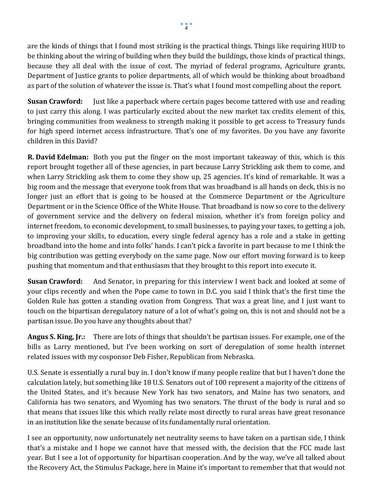are the kinds of things that I found most striking is the practical things. Things like requiring HUD to be thinking about the wiring of building when they build the buildings, those kinds of practical things, because they all deal with the issue of cost. The myriad of federal programs, Agriculture grants, Department of Justice grants to police departments, all of which would be thinking about broadband as part of the solution of whatever the issue is. That's what I found most compelling about the report.

**Susan Crawford:** Just like a paperback where certain pages become tattered with use and reading to just carry this along. I was particularly excited about the new market tax credits element of this, bringing communities from weakness to strength making it possible to get access to Treasury funds for high speed internet access infrastructure. That's one of my favorites. Do you have any favorite children in this David?

**R. David Edelman:** Both you put the finger on the most important takeaway of this, which is this report brought together all of these agencies, in part because Larry Strickling ask them to come, and when Larry Strickling ask them to come they show up, 25 agencies. It's kind of remarkable. It was a big room and the message that everyone took from that was broadband is all hands on deck, this is no longer just an effort that is going to be housed at the Commerce Department or the Agriculture Department or in the Science Office of the White House. That broadband is now so core to the delivery of government service and the delivery on federal mission, whether it's from foreign policy and internet freedom, to economic development, to small businesses, to paying your taxes, to getting a job, to improving your skills, to education, every single federal agency has a role and a stake in getting broadband into the home and into folks' hands. I can't pick a favorite in part because to me I think the big contribution was getting everybody on the same page. Now our effort moving forward is to keep pushing that momentum and that enthusiasm that they brought to this report into execute it.

**Susan Crawford:** And Senator, in preparing for this interview I went back and looked at some of your clips recently and when the Pope came to town in D.C. you said I think that's the first time the Golden Rule has gotten a standing ovation from Congress. That was a great line, and I just want to touch on the bipartisan deregulatory nature of a lot of what's going on, this is not and should not be a partisan issue. Do you have any thoughts about that?

**Angus S. King, Jr.:** There are lots of things that shouldn't be partisan issues. For example, one of the bills as Larry mentioned, but I've been working on sort of deregulation of some health internet related issues with my cosponsor Deb Fisher, Republican from Nebraska.

U.S. Senate is essentially a rural buy in. I don't know if many people realize that but I haven't done the calculation lately, but something like 18 U.S. Senators out of 100 represent a majority of the citizens of the United States, and it's because New York has two senators, and Maine has two senators, and California has two senators, and Wyoming has two senators. The thrust of the body is rural and so that means that issues like this which really relate most directly to rural areas have great resonance in an institution like the senate because of its fundamentally rural orientation.

I see an opportunity, now unfortunately net neutrality seems to have taken on a partisan side, I think that's a mistake and I hope we cannot have that messed with, the decision that the FCC made last year. But I see a lot of opportunity for bipartisan cooperation. And by the way, we've all talked about the Recovery Act, the Stimulus Package, here in Maine it's important to remember that that would not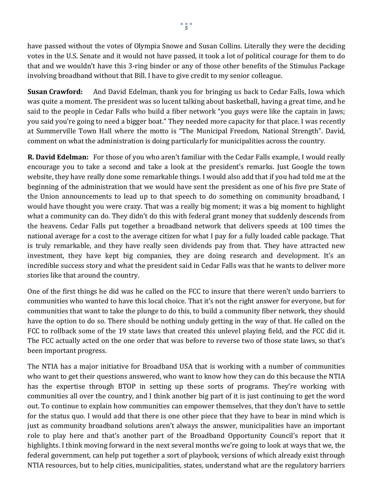have passed without the votes of Olympia Snowe and Susan Collins. Literally they were the deciding votes in the U.S. Senate and it would not have passed, it took a lot of political courage for them to do that and we wouldn't have this 3-ring binder or any of those other benefits of the Stimulus Package involving broadband without that Bill. I have to give credit to my senior colleague.

**Susan Crawford:** And David Edelman, thank you for bringing us back to Cedar Falls, Iowa which was quite a moment. The president was so lucent talking about basketball, having a great time, and he said to the people in Cedar Falls who build a fiber network "you guys were like the captain in Jaws; you said you're going to need a bigger boat." They needed more capacity for that place. I was recently at Summerville Town Hall where the motto is "The Municipal Freedom, National Strength". David, comment on what the administration is doing particularly for municipalities across the country.

**R. David Edelman:** For those of you who aren't familiar with the Cedar Falls example, I would really encourage you to take a second and take a look at the president's remarks. Just Google the town website, they have really done some remarkable things. I would also add that if you had told me at the beginning of the administration that we would have sent the president as one of his five pre State of the Union announcements to lead up to that speech to do something on community broadband, I would have thought you were crazy. That was a really big moment; it was a big moment to highlight what a community can do. They didn't do this with federal grant money that suddenly descends from the heavens. Cedar Falls put together a broadband network that delivers speeds at 100 times the national average for a cost to the average citizen for what I pay for a fully loaded cable package. That is truly remarkable, and they have really seen dividends pay from that. They have attracted new investment, they have kept big companies, they are doing research and development. It's an incredible success story and what the president said in Cedar Falls was that he wants to deliver more stories like that around the country.

One of the first things he did was he called on the FCC to insure that there weren't undo barriers to communities who wanted to have this local choice. That it's not the right answer for everyone, but for communities that want to take the plunge to do this, to build a community fiber network, they should have the option to do so. There should be nothing unduly getting in the way of that. He called on the FCC to rollback some of the 19 state laws that created this unlevel playing field, and the FCC did it. The FCC actually acted on the one order that was before to reverse two of those state laws, so that's been important progress.

The NTIA has a major initiative for Broadband USA that is working with a number of communities who want to get their questions answered, who want to know how they can do this because the NTIA has the expertise through BTOP in setting up these sorts of programs. They're working with communities all over the country, and I think another big part of it is just continuing to get the word out. To continue to explain how communities can empower themselves, that they don't have to settle for the status quo. I would add that there is one other piece that they have to bear in mind which is just as community broadband solutions aren't always the answer, municipalities have an important role to play here and that's another part of the Broadband Opportunity Council's report that it highlights. I think moving forward in the next several months we're going to look at ways that we, the federal government, can help put together a sort of playbook, versions of which already exist through NTIA resources, but to help cities, municipalities, states, understand what are the regulatory barriers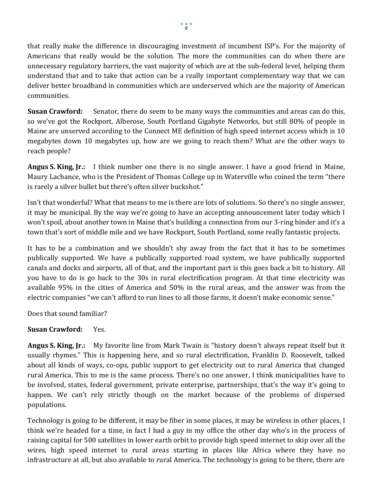that really make the difference in discouraging investment of incumbent ISP's. For the majority of Americans that really would be the solution. The more the communities can do when there are unnecessary regulatory barriers, the vast majority of which are at the sub-federal level, helping them understand that and to take that action can be a really important complementary way that we can deliver better broadband in communities which are underserved which are the majority of American communities.

**Susan Crawford:** Senator, there do seem to be many ways the communities and areas can do this, so we've got the Rockport, Alberose, South Portland Gigabyte Networks, but still 80% of people in Maine are unserved according to the Connect ME definition of high speed internet access which is 10 megabytes down 10 megabytes up, how are we going to reach them? What are the other ways to reach people?

**Angus S. King, Jr.:** I think number one there is no single answer. I have a good friend in Maine, Maury Lachance, who is the President of Thomas College up in Waterville who coined the term "there is rarely a silver bullet but there's often silver buckshot."

Isn't that wonderful? What that means to me is there are lots of solutions. So there's no single answer, it may be municipal. By the way we're going to have an accepting announcement later today which I won't spoil, about another town in Maine that's building a connection from our 3-ring binder and it's a town that's sort of middle mile and we have Rockport, South Portland, some really fantastic projects.

It has to be a combination and we shouldn't shy away from the fact that it has to be sometimes publically supported. We have a publically supported road system, we have publically supported canals and docks and airports, all of that, and the important part is this goes back a bit to history. All you have to do is go back to the 30s in rural electrification program. At that time electricity was available 95% in the cities of America and 50% in the rural areas, and the answer was from the electric companies "we can't afford to run lines to all those farms, it doesn't make economic sense."

Does that sound familiar?

## **Susan Crawford:** Yes.

**Angus S. King, Jr.:** My favorite line from Mark Twain is "history doesn't always repeat itself but it usually rhymes." This is happening here, and so rural electrification, Franklin D. Roosevelt, talked about all kinds of ways, co-ops, public support to get electricity out to rural America that changed rural America. This to me is the same process. There's no one answer, I think municipalities have to be involved, states, federal government, private enterprise, partnerships, that's the way it's going to happen. We can't rely strictly though on the market because of the problems of dispersed populations.

Technology is going to be different, it may be fiber in some places, it may be wireless in other places, I think we're headed for a time, in fact I had a guy in my office the other day who's in the process of raising capital for 500 satellites in lower earth orbit to provide high speed internet to skip over all the wires, high speed internet to rural areas starting in places like Africa where they have no infrastructure at all, but also available to rural America. The technology is going to be there, there are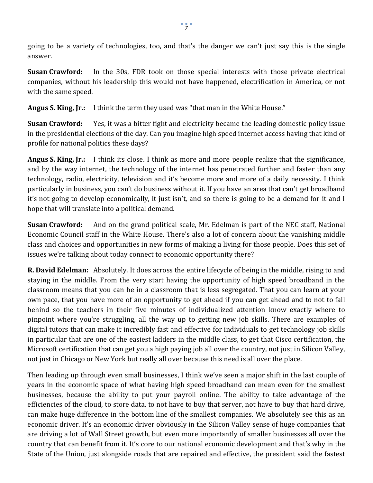going to be a variety of technologies, too, and that's the danger we can't just say this is the single answer.

**Susan Crawford:** In the 30s, FDR took on those special interests with those private electrical companies, without his leadership this would not have happened, electrification in America, or not with the same speed.

**Angus S. King, Jr.:** I think the term they used was "that man in the White House."

**Susan Crawford:** Yes, it was a bitter fight and electricity became the leading domestic policy issue in the presidential elections of the day. Can you imagine high speed internet access having that kind of profile for national politics these days?

**Angus S. King, Jr.:** I think its close. I think as more and more people realize that the significance, and by the way internet, the technology of the internet has penetrated further and faster than any technology, radio, electricity, television and it's become more and more of a daily necessity. I think particularly in business, you can't do business without it. If you have an area that can't get broadband it's not going to develop economically, it just isn't, and so there is going to be a demand for it and I hope that will translate into a political demand.

**Susan Crawford:** And on the grand political scale, Mr. Edelman is part of the NEC staff, National Economic Council staff in the White House. There's also a lot of concern about the vanishing middle class and choices and opportunities in new forms of making a living for those people. Does this set of issues we're talking about today connect to economic opportunity there?

**R. David Edelman:** Absolutely. It does across the entire lifecycle of being in the middle, rising to and staying in the middle. From the very start having the opportunity of high speed broadband in the classroom means that you can be in a classroom that is less segregated. That you can learn at your own pace, that you have more of an opportunity to get ahead if you can get ahead and to not to fall behind so the teachers in their five minutes of individualized attention know exactly where to pinpoint where you're struggling, all the way up to getting new job skills. There are examples of digital tutors that can make it incredibly fast and effective for individuals to get technology job skills in particular that are one of the easiest ladders in the middle class, to get that Cisco certification, the Microsoft certification that can get you a high paying job all over the country, not just in Silicon Valley, not just in Chicago or New York but really all over because this need is all over the place.

Then leading up through even small businesses, I think we've seen a major shift in the last couple of years in the economic space of what having high speed broadband can mean even for the smallest businesses, because the ability to put your payroll online. The ability to take advantage of the efficiencies of the cloud, to store data, to not have to buy that server, not have to buy that hard drive, can make huge difference in the bottom line of the smallest companies. We absolutely see this as an economic driver. It's an economic driver obviously in the Silicon Valley sense of huge companies that are driving a lot of Wall Street growth, but even more importantly of smaller businesses all over the country that can benefit from it. It's core to our national economic development and that's why in the State of the Union, just alongside roads that are repaired and effective, the president said the fastest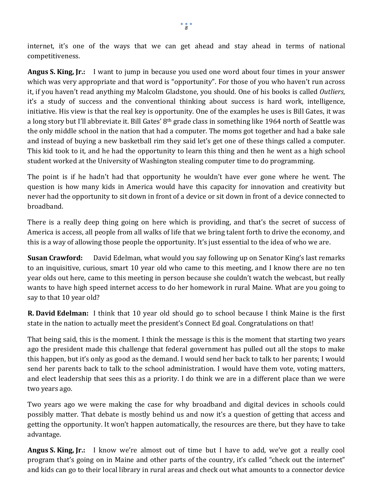internet, it's one of the ways that we can get ahead and stay ahead in terms of national competitiveness.

**Angus S. King, Jr.:** I want to jump in because you used one word about four times in your answer which was very appropriate and that word is "opportunity". For those of you who haven't run across it, if you haven't read anything my Malcolm Gladstone, you should. One of his books is called *Outliers*, it's a study of success and the conventional thinking about success is hard work, intelligence, initiative. His view is that the real key is opportunity. One of the examples he uses is Bill Gates, it was a long story but I'll abbreviate it. Bill Gates' 8<sup>th</sup> grade class in something like 1964 north of Seattle was the only middle school in the nation that had a computer. The moms got together and had a bake sale and instead of buying a new basketball rim they said let's get one of these things called a computer. This kid took to it, and he had the opportunity to learn this thing and then he went as a high school student worked at the University of Washington stealing computer time to do programming.

The point is if he hadn't had that opportunity he wouldn't have ever gone where he went. The question is how many kids in America would have this capacity for innovation and creativity but never had the opportunity to sit down in front of a device or sit down in front of a device connected to broadband.

There is a really deep thing going on here which is providing, and that's the secret of success of America is access, all people from all walks of life that we bring talent forth to drive the economy, and this is a way of allowing those people the opportunity. It's just essential to the idea of who we are.

**Susan Crawford:** David Edelman, what would you say following up on Senator King's last remarks to an inquisitive, curious, smart 10 year old who came to this meeting, and I know there are no ten year olds out here, came to this meeting in person because she couldn't watch the webcast, but really wants to have high speed internet access to do her homework in rural Maine. What are you going to say to that 10 year old?

**R. David Edelman:** I think that 10 year old should go to school because I think Maine is the first state in the nation to actually meet the president's Connect Ed goal. Congratulations on that!

That being said, this is the moment. I think the message is this is the moment that starting two years ago the president made this challenge that federal government has pulled out all the stops to make this happen, but it's only as good as the demand. I would send her back to talk to her parents; I would send her parents back to talk to the school administration. I would have them vote, voting matters, and elect leadership that sees this as a priority. I do think we are in a different place than we were two years ago.

Two years ago we were making the case for why broadband and digital devices in schools could possibly matter. That debate is mostly behind us and now it's a question of getting that access and getting the opportunity. It won't happen automatically, the resources are there, but they have to take advantage.

**Angus S. King, Jr.:** I know we're almost out of time but I have to add, we've got a really cool program that's going on in Maine and other parts of the country, it's called "check out the internet" and kids can go to their local library in rural areas and check out what amounts to a connector device